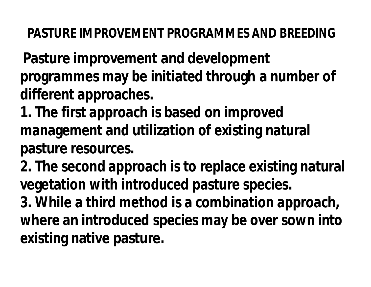### *PASTURE IMPROVEMENT PROGRAMMES AND BREEDING*

**Pasture improvement and development programmes may be initiated through a number of different approaches.**

**1. The first approach is based on improved management and utilization of existing natural pasture resources.**

**2. The second approach is to replace existing natural vegetation with introduced pasture species.**

**3. While a third method is a combination approach, where an introduced species may be over sown into existing native pasture.**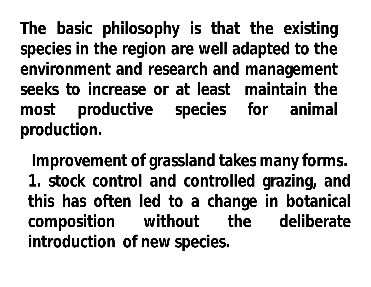**The basic philosophy is that the existing species in the region are well adapted to the environment and research and management seeks to increase or at least maintain the most productive species for animal production.**

**Improvement of grassland takes many forms. 1. stock control and controlled grazing, and this has often led to a change in botanical composition without the deliberate introduction of new species.**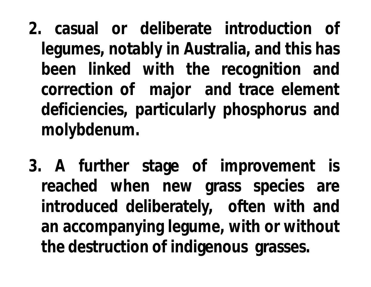- **2. casual or deliberate introduction of legumes, notably in Australia, and this has been linked with the recognition and correction of major and trace element deficiencies, particularly phosphorus and molybdenum.**
- **3. A further stage of improvement is reached when new grass species are introduced deliberately, often with and an accompanying legume, with or without the destruction of indigenous grasses.**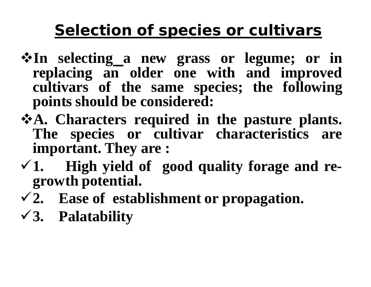## **Selection of species or cultivars**

- **In selecting a new grass or legume; or in replacing an older one with and improved cultivars of the same species; the following points should be considered:**
- **A. Characters required in the pasture plants. The species or cultivar characteristics are important. They are :**
- **1. High yield of good quality forage and regrowth potential.**
- **2. Ease of establishment or propagation.**
- **3. Palatability**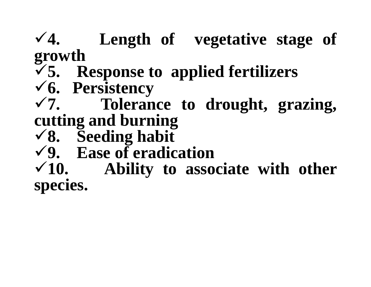### **4. Length of vegetative stage of growth**

**5. Response to applied fertilizers**

**6. Persistency**

**7. Tolerance to drought, grazing, cutting and burning**

- **8. Seeding habit**
- **9. Ease of eradication**

**10. Ability to associate with other species.**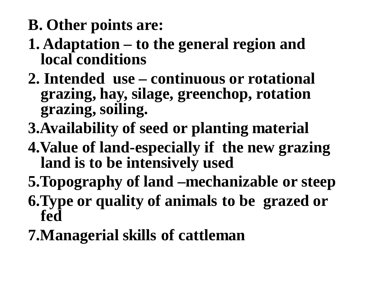**B. Other points are:** 

### **1. Adaptation – to the general region and local conditions**

- **2. Intended use – continuous or rotational grazing, hay, silage, greenchop, rotation grazing, soiling.**
- **3.Availability of seed or planting material**
- **4.Value of land-especially if the new grazing land is to be intensively used**
- **5.Topography of land –mechanizable or steep**
- **6.Type or quality of animals to be grazed or fed**
- **7.Managerial skills of cattleman**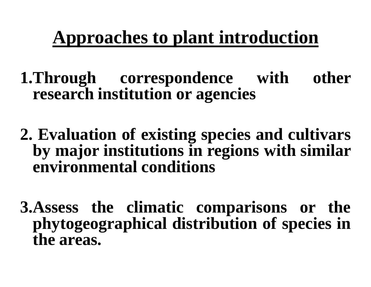# **Approaches to plant introduction**

**1.Through correspondence with other research institution or agencies**

**2. Evaluation of existing species and cultivars by major institutions in regions with similar environmental conditions**

**3.Assess the climatic comparisons or the phytogeographical distribution of species in the areas.**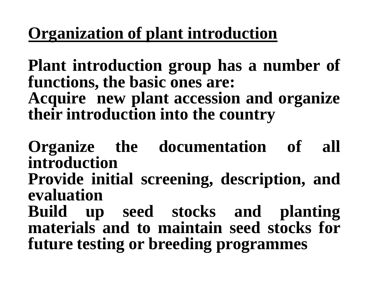## **Organization of plant introduction**

**Plant introduction group has a number of functions, the basic ones are: Acquire new plant accession and organize their introduction into the country**

**Organize the documentation of all introduction**

**Provide initial screening, description, and evaluation**

**Build up seed stocks and planting materials and to maintain seed stocks for future testing or breeding programmes**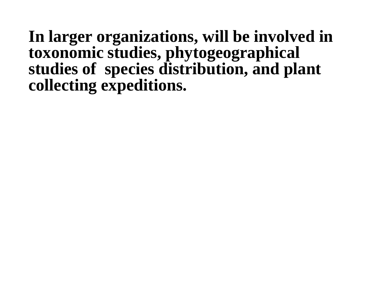**In larger organizations, will be involved in toxonomic studies, phytogeographical studies of species distribution, and plant collecting expeditions.**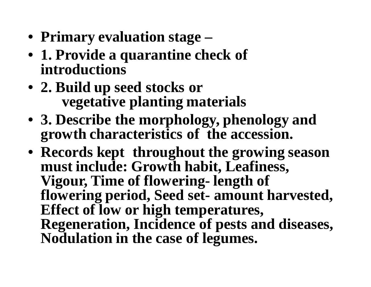- **Primary evaluation stage –**
- **1. Provide a quarantine check of introductions**
- **2. Build up seed stocks or vegetative planting materials**
- **3. Describe the morphology, phenology and growth characteristics of the accession.**
- **Records kept throughout the growing season must include: Growth habit, Leafiness, Vigour, Time of flowering- length of flowering period, Seed set- amount harvested, Effect of low or high temperatures, Regeneration, Incidence of pests and diseases, Nodulation in the case of legumes.**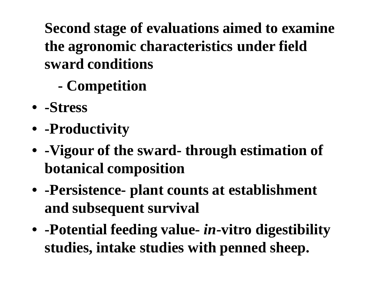**Second stage of evaluations aimed to examine the agronomic characteristics under field sward conditions**

- **- Competition**
- **-Stress**
- **-Productivity**
- **-Vigour of the sward- through estimation of botanical composition**
- **-Persistence- plant counts at establishment and subsequent survival**
- **-Potential feeding value-** *in-***vitro digestibility studies, intake studies with penned sheep.**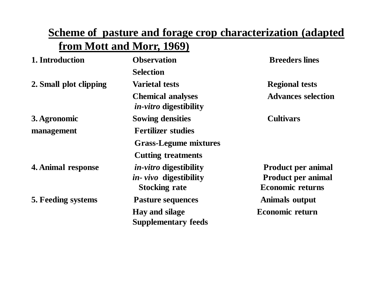#### **Scheme of pasture and forage crop characterization (adapted from Mott and Morr, 1969)**

| 1. Introduction           | <b>Observation</b>                                        | <b>Breeders lines</b>     |
|---------------------------|-----------------------------------------------------------|---------------------------|
|                           | <b>Selection</b>                                          |                           |
| 2. Small plot clipping    | <b>Varietal tests</b>                                     | <b>Regional tests</b>     |
|                           | <b>Chemical analyses</b><br><i>in-vitro</i> digestibility | <b>Advances selection</b> |
| 3. Agronomic              | <b>Sowing densities</b>                                   | <b>Cultivars</b>          |
| management                | <b>Fertilizer studies</b>                                 |                           |
|                           | <b>Grass-Legume mixtures</b>                              |                           |
|                           | <b>Cutting treatments</b>                                 |                           |
| 4. Animal response        | <i>in-vitro</i> digestibility                             | <b>Product per animal</b> |
|                           | <i>in-vivo</i> digestibility                              | <b>Product per animal</b> |
|                           | <b>Stocking rate</b>                                      | <b>Economic returns</b>   |
| <b>5. Feeding systems</b> | <b>Pasture sequences</b>                                  | Animals output            |
|                           | <b>Hay and silage</b><br><b>Supplementary feeds</b>       | <b>Economic return</b>    |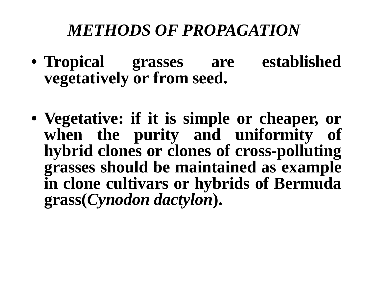## *METHODS OF PROPAGATION*

- **Tropical grasses are established vegetatively or from seed.**
- **Vegetative: if it is simple or cheaper, or when the purity and uniformity of hybrid clones or clones of cross-polluting grasses should be maintained as example in clone cultivars or hybrids of Bermuda grass(***Cynodon dactylon***).**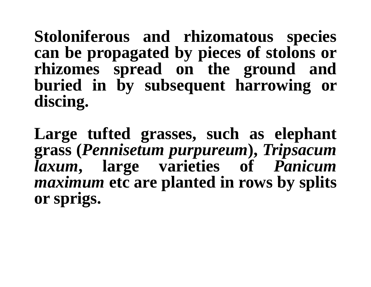**Stoloniferous and rhizomatous species can be propagated by pieces of stolons or rhizomes spread on the ground and buried in by subsequent harrowing or discing.**

**Large tufted grasses, such as elephant grass (***Pennisetum purpureum***),** *Tripsacum laxum***, large varieties of** *Panicum maximum* **etc are planted in rows by splits or sprigs.**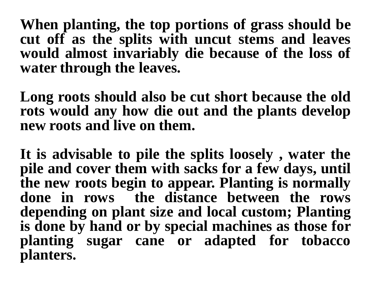**When planting, the top portions of grass should be cut off as the splits with uncut stems and leaves would almost invariably die because of the loss of water through the leaves.**

**Long roots should also be cut short because the old rots would any how die out and the plants develop new roots and live on them.**

**It is advisable to pile the splits loosely , water the pile and cover them with sacks for a few days, until the new roots begin to appear. Planting is normally done in rows the distance between the rows depending on plant size and local custom; Planting is done by hand or by special machines as those for planting sugar cane or adapted for tobacco planters.**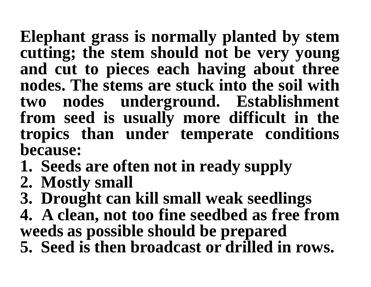**Elephant grass is normally planted by stem cutting; the stem should not be very young and cut to pieces each having about three nodes. The stems are stuck into the soil with two nodes underground. Establishment from seed is usually more difficult in the tropics than under temperate conditions because:**

- **1. Seeds are often not in ready supply**
- **2. Mostly small**
- **3. Drought can kill small weak seedlings**
- **4. A clean, not too fine seedbed as free from weeds as possible should be prepared 5. Seed is then broadcast or drilled in rows.**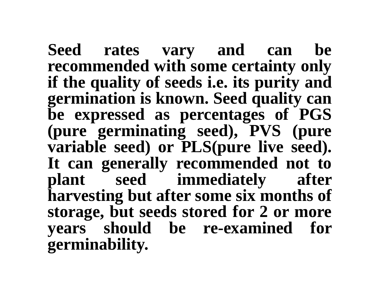**Seed rates vary and can be recommended with some certainty only if the quality of seeds i.e. its purity and germination is known. Seed quality can be expressed as percentages of PGS (pure germinating seed), PVS (pure variable seed) or PLS(pure live seed). It can generally recommended not to plant seed immediately after harvesting but after some six months of storage, but seeds stored for 2 or more years should be re-examined for germinability.**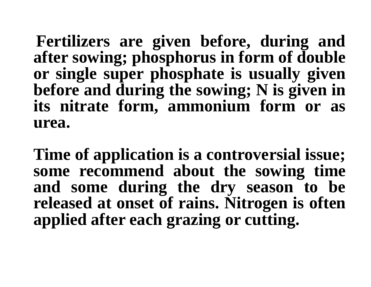**Fertilizers are given before, during and after sowing; phosphorus in form of double or single super phosphate is usually given before and during the sowing; N is given in its nitrate form, ammonium form or as urea.**

**Time of application is a controversial issue; some recommend about the sowing time and some during the dry season to be released at onset of rains. Nitrogen is often applied after each grazing or cutting.**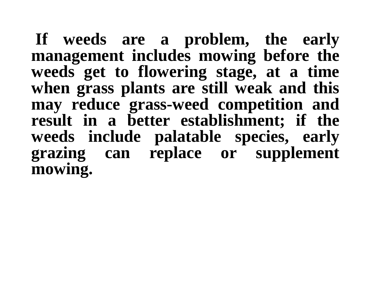**If weeds are a problem, the early management includes mowing before the weeds get to flowering stage, at a time when grass plants are still weak and this may reduce grass-weed competition and result in a better establishment; if the weeds include palatable species, early grazing can replace or supplement mowing.**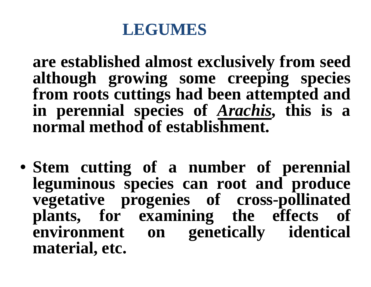## **LEGUMES**

**are established almost exclusively from seed although growing some creeping species from roots cuttings had been attempted and in perennial species of** *Arachis***, this is a normal method of establishment.**

• **Stem cutting of a number of perennial leguminous species can root and produce vegetative progenies of cross-pollinated plants, for examining the effects of environment on genetically identical material, etc.**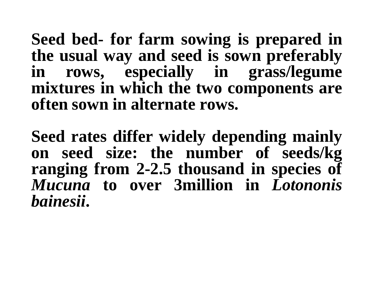**Seed bed- for farm sowing is prepared in the usual way and seed is sown preferably in rows, especially in grass/legume mixtures in which the two components are often sown in alternate rows.**

**Seed rates differ widely depending mainly on seed size: the number of seeds/kg ranging from 2-2.5 thousand in species of** *Mucuna* **to over 3million in** *Lotononis bainesii***.**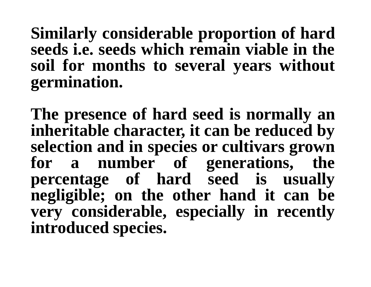**Similarly considerable proportion of hard seeds i.e. seeds which remain viable in the soil for months to several years without germination.**

**The presence of hard seed is normally an inheritable character, it can be reduced by selection and in species or cultivars grown for a number of generations, the percentage of hard seed is usually negligible; on the other hand it can be very considerable, especially in recently introduced species.**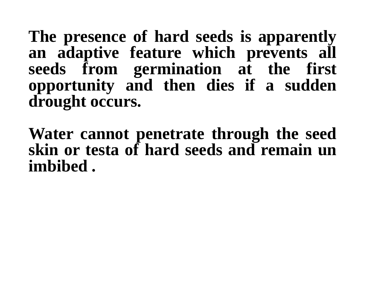**The presence of hard seeds is apparently an adaptive feature which prevents all seeds from germination at the first opportunity and then dies if a sudden drought occurs.**

**Water cannot penetrate through the seed skin or testa of hard seeds and remain un imbibed .**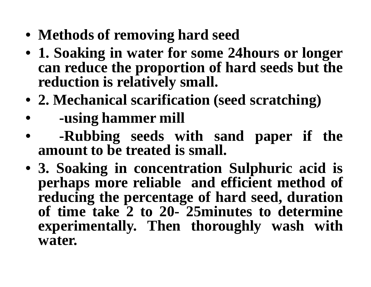- **Methods of removing hard seed**
- **1. Soaking in water for some 24hours or longer can reduce the proportion of hard seeds but the reduction is relatively small.**
- **2. Mechanical scarification (seed scratching)**
- **-using hammer mill**
- **-Rubbing seeds with sand paper if the amount to be treated is small.**
- **3. Soaking in concentration Sulphuric acid is perhaps more reliable and efficient method of reducing the percentage of hard seed, duration of time take 2 to 20- 25minutes to determine experimentally. Then thoroughly wash with water.**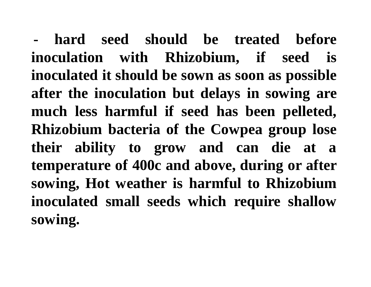**- hard seed should be treated before inoculation with Rhizobium, if seed is inoculated it should be sown as soon as possible after the inoculation but delays in sowing are much less harmful if seed has been pelleted, Rhizobium bacteria of the Cowpea group lose their ability to grow and can die at a temperature of 400c and above, during or after sowing, Hot weather is harmful to Rhizobium inoculated small seeds which require shallow sowing.**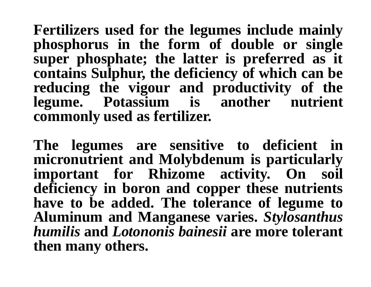**Fertilizers used for the legumes include mainly phosphorus in the form of double or single super phosphate; the latter is preferred as it contains Sulphur, the deficiency of which can be reducing the vigour and productivity of the legume. Potassium is another nutrient commonly used as fertilizer.**

**The legumes are sensitive to deficient in micronutrient and Molybdenum is particularly important for Rhizome activity. On soil deficiency in boron and copper these nutrients have to be added. The tolerance of legume to Aluminum and Manganese varies.** *Stylosanthus humilis* **and** *Lotononis bainesii* **are more tolerant then many others.**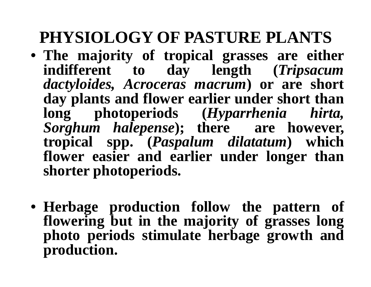# **PHYSIOLOGY OF PASTURE PLANTS**

- **The majority of tropical grasses are either indifferent to day length (***Tripsacum dactyloides, Acroceras macrum***) or are short day plants and flower earlier under short than long photoperiods (***Hyparrhenia hirta, Sorghum halepense***); there are however, tropical spp. (***Paspalum dilatatum***) which flower easier and earlier under longer than shorter photoperiods.**
- **Herbage production follow the pattern of flowering but in the majority of grasses long photo periods stimulate herbage growth and production.**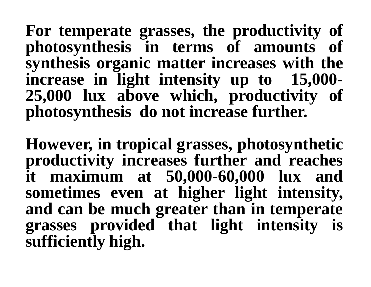**For temperate grasses, the productivity of photosynthesis in terms of amounts of synthesis organic matter increases with the increase in light intensity up to 15,000- 25,000 lux above which, productivity of photosynthesis do not increase further.**

**However, in tropical grasses, photosynthetic productivity increases further and reaches it maximum at 50,000-60,000 lux and sometimes even at higher light intensity, and can be much greater than in temperate grasses provided that light intensity is sufficiently high.**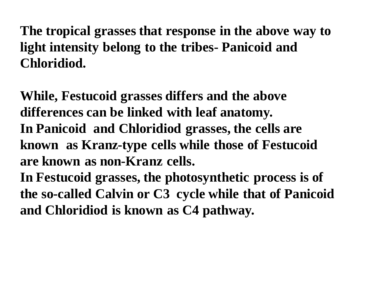### **The tropical grasses that response in the above way to light intensity belong to the tribes- Panicoid and Chloridiod.**

**While, Festucoid grasses differs and the above differences can be linked with leaf anatomy. In Panicoid and Chloridiod grasses, the cells are known as Kranz-type cells while those of Festucoid are known as non-Kranz cells. In Festucoid grasses, the photosynthetic process is of the so-called Calvin or C3 cycle while that of Panicoid**

**and Chloridiod is known as C4 pathway.**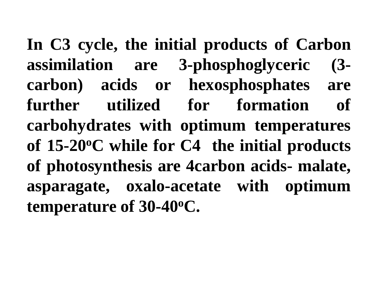**In C3 cycle, the initial products of Carbon assimilation are 3-phosphoglyceric (3 carbon) acids or hexosphosphates are further utilized for formation of carbohydrates with optimum temperatures of 15-20<sup>o</sup>C while for C4 the initial products of photosynthesis are 4carbon acids- malate, asparagate, oxalo-acetate with optimum temperature of 30-40<sup>o</sup>C.**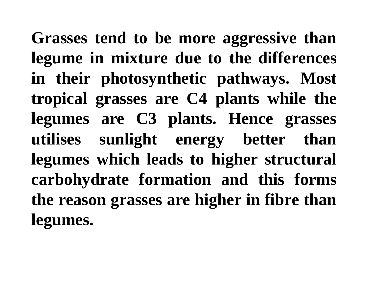**Grasses tend to be more aggressive than legume in mixture due to the differences in their photosynthetic pathways. Most tropical grasses are C4 plants while the legumes are C3 plants. Hence grasses utilises sunlight energy better than legumes which leads to higher structural carbohydrate formation and this forms the reason grasses are higher in fibre than legumes.**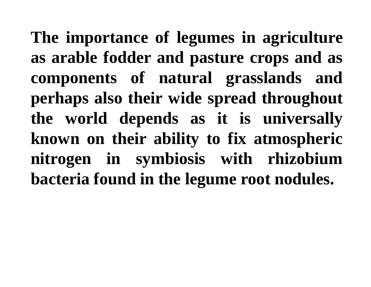**The importance of legumes in agriculture as arable fodder and pasture crops and as components of natural grasslands and perhaps also their wide spread throughout the world depends as it is universally known on their ability to fix atmospheric nitrogen in symbiosis with rhizobium bacteria found in the legume root nodules.**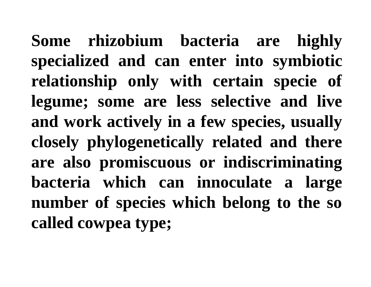**Some rhizobium bacteria are highly specialized and can enter into symbiotic relationship only with certain specie of legume; some are less selective and live and work actively in a few species, usually closely phylogenetically related and there are also promiscuous or indiscriminating bacteria which can innoculate a large number of species which belong to the so called cowpea type;**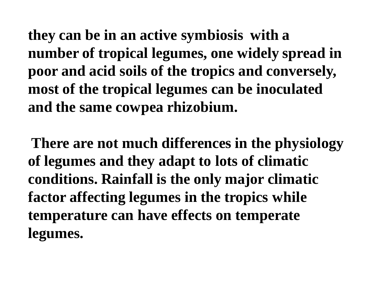**they can be in an active symbiosis with a number of tropical legumes, one widely spread in poor and acid soils of the tropics and conversely, most of the tropical legumes can be inoculated and the same cowpea rhizobium.**

**There are not much differences in the physiology of legumes and they adapt to lots of climatic conditions. Rainfall is the only major climatic factor affecting legumes in the tropics while temperature can have effects on temperate legumes.**